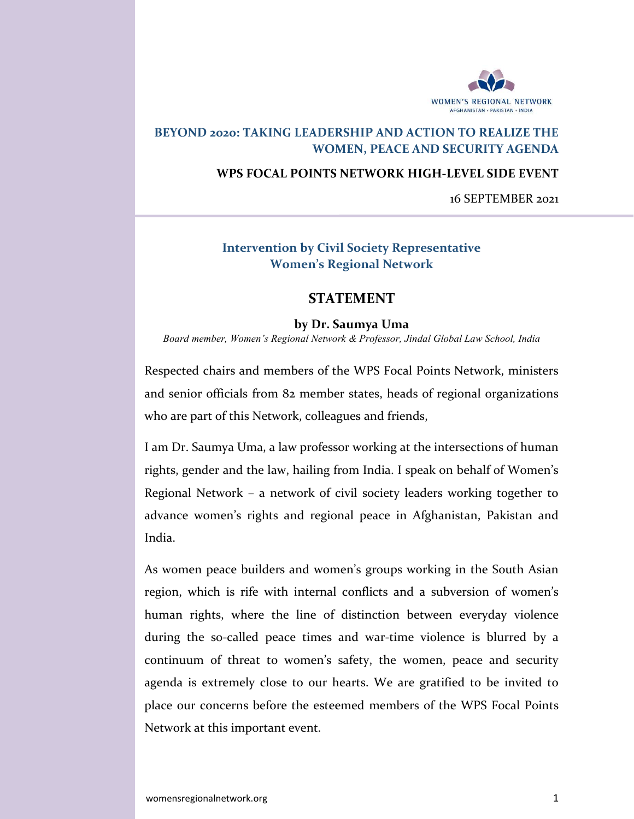

# BEYOND 2020: TAKING LEADERSHIP AND ACTION TO REALIZE THE WOMEN, PEACE AND SECURITY AGENDA

#### WPS FOCAL POINTS NETWORK HIGH-LEVEL SIDE EVENT

16 SEPTEMBER 2021

## Intervention by Civil Society Representative Women's Regional Network

### STATEMENT

#### by Dr. Saumya Uma

Board member, Women's Regional Network & Professor, Jindal Global Law School, India

Respected chairs and members of the WPS Focal Points Network, ministers and senior officials from 82 member states, heads of regional organizations who are part of this Network, colleagues and friends,

I am Dr. Saumya Uma, a law professor working at the intersections of human rights, gender and the law, hailing from India. I speak on behalf of Women's Regional Network – a network of civil society leaders working together to advance women's rights and regional peace in Afghanistan, Pakistan and India.

As women peace builders and women's groups working in the South Asian region, which is rife with internal conflicts and a subversion of women's human rights, where the line of distinction between everyday violence during the so-called peace times and war-time violence is blurred by a continuum of threat to women's safety, the women, peace and security agenda is extremely close to our hearts. We are gratified to be invited to place our concerns before the esteemed members of the WPS Focal Points Network at this important event.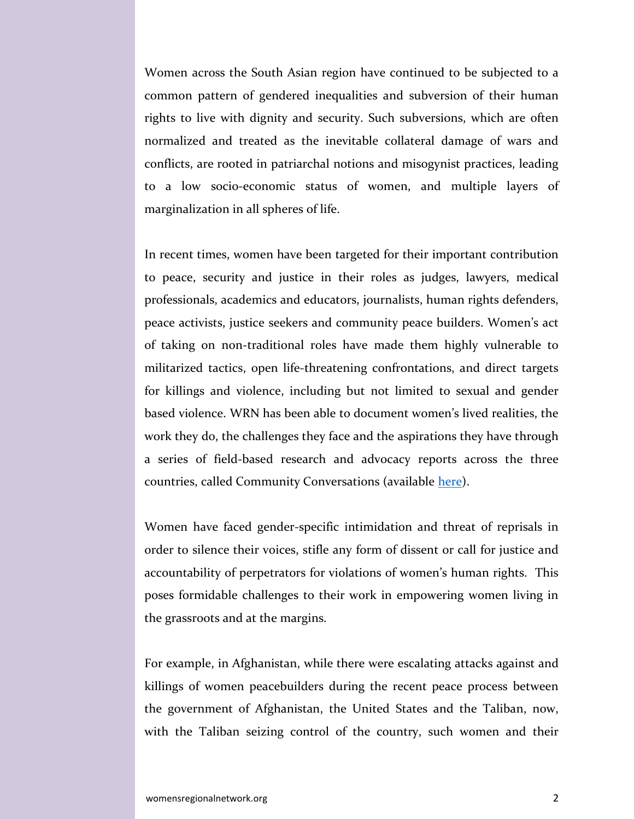Women across the South Asian region have continued to be subjected to a common pattern of gendered inequalities and subversion of their human rights to live with dignity and security. Such subversions, which are often normalized and treated as the inevitable collateral damage of wars and conflicts, are rooted in patriarchal notions and misogynist practices, leading to a low socio-economic status of women, and multiple layers of marginalization in all spheres of life.

In recent times, women have been targeted for their important contribution to peace, security and justice in their roles as judges, lawyers, medical professionals, academics and educators, journalists, human rights defenders, peace activists, justice seekers and community peace builders. Women's act of taking on non-traditional roles have made them highly vulnerable to militarized tactics, open life-threatening confrontations, and direct targets for killings and violence, including but not limited to sexual and gender based violence. WRN has been able to document women's lived realities, the work they do, the challenges they face and the aspirations they have through a series of field-based research and advocacy reports across the three countries, called Community Conversations (available here).

Women have faced gender-specific intimidation and threat of reprisals in order to silence their voices, stifle any form of dissent or call for justice and accountability of perpetrators for violations of women's human rights. This poses formidable challenges to their work in empowering women living in the grassroots and at the margins.

For example, in Afghanistan, while there were escalating attacks against and killings of women peacebuilders during the recent peace process between the government of Afghanistan, the United States and the Taliban, now, with the Taliban seizing control of the country, such women and their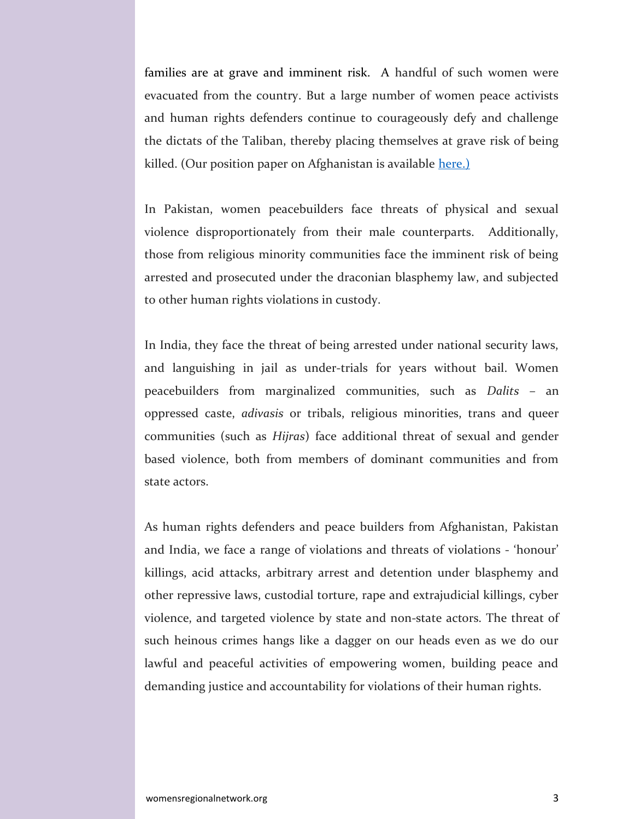families are at grave and imminent risk. A handful of such women were evacuated from the country. But a large number of women peace activists and human rights defenders continue to courageously defy and challenge the dictats of the Taliban, thereby placing themselves at grave risk of being killed. (Our position paper on Afghanistan is available here.)

In Pakistan, women peacebuilders face threats of physical and sexual violence disproportionately from their male counterparts. Additionally, those from religious minority communities face the imminent risk of being arrested and prosecuted under the draconian blasphemy law, and subjected to other human rights violations in custody.

In India, they face the threat of being arrested under national security laws, and languishing in jail as under-trials for years without bail. Women peacebuilders from marginalized communities, such as Dalits – an oppressed caste, adivasis or tribals, religious minorities, trans and queer communities (such as Hijras) face additional threat of sexual and gender based violence, both from members of dominant communities and from state actors.

As human rights defenders and peace builders from Afghanistan, Pakistan and India, we face a range of violations and threats of violations - 'honour' killings, acid attacks, arbitrary arrest and detention under blasphemy and other repressive laws, custodial torture, rape and extrajudicial killings, cyber violence, and targeted violence by state and non-state actors. The threat of such heinous crimes hangs like a dagger on our heads even as we do our lawful and peaceful activities of empowering women, building peace and demanding justice and accountability for violations of their human rights.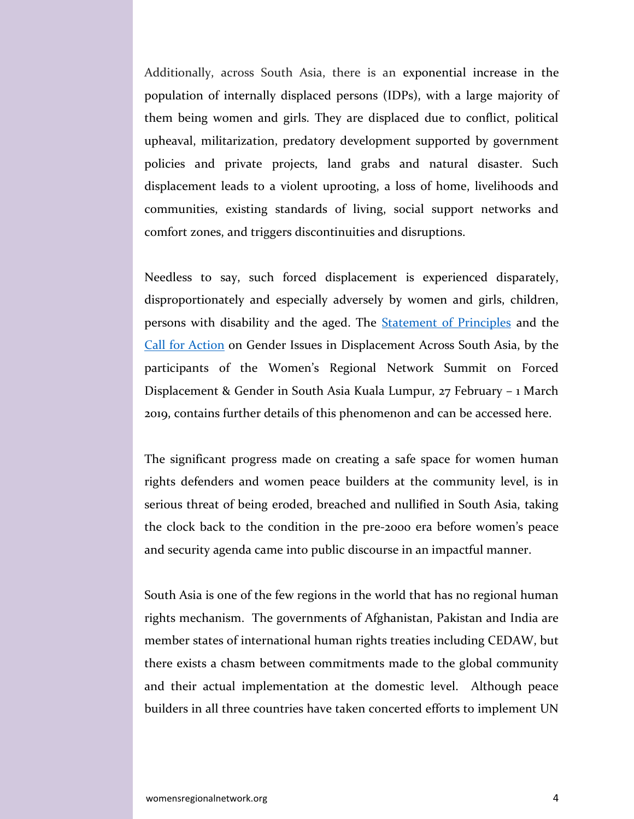Additionally, across South Asia, there is an exponential increase in the population of internally displaced persons (IDPs), with a large majority of them being women and girls. They are displaced due to conflict, political upheaval, militarization, predatory development supported by government policies and private projects, land grabs and natural disaster. Such displacement leads to a violent uprooting, a loss of home, livelihoods and communities, existing standards of living, social support networks and comfort zones, and triggers discontinuities and disruptions.

Needless to say, such forced displacement is experienced disparately, disproportionately and especially adversely by women and girls, children, persons with disability and the aged. The Statement of Principles and the Call for Action on Gender Issues in Displacement Across South Asia, by the participants of the Women's Regional Network Summit on Forced Displacement & Gender in South Asia Kuala Lumpur, 27 February – 1 March 2019, contains further details of this phenomenon and can be accessed here.

The significant progress made on creating a safe space for women human rights defenders and women peace builders at the community level, is in serious threat of being eroded, breached and nullified in South Asia, taking the clock back to the condition in the pre-2000 era before women's peace and security agenda came into public discourse in an impactful manner.

South Asia is one of the few regions in the world that has no regional human rights mechanism. The governments of Afghanistan, Pakistan and India are member states of international human rights treaties including CEDAW, but there exists a chasm between commitments made to the global community and their actual implementation at the domestic level. Although peace builders in all three countries have taken concerted efforts to implement UN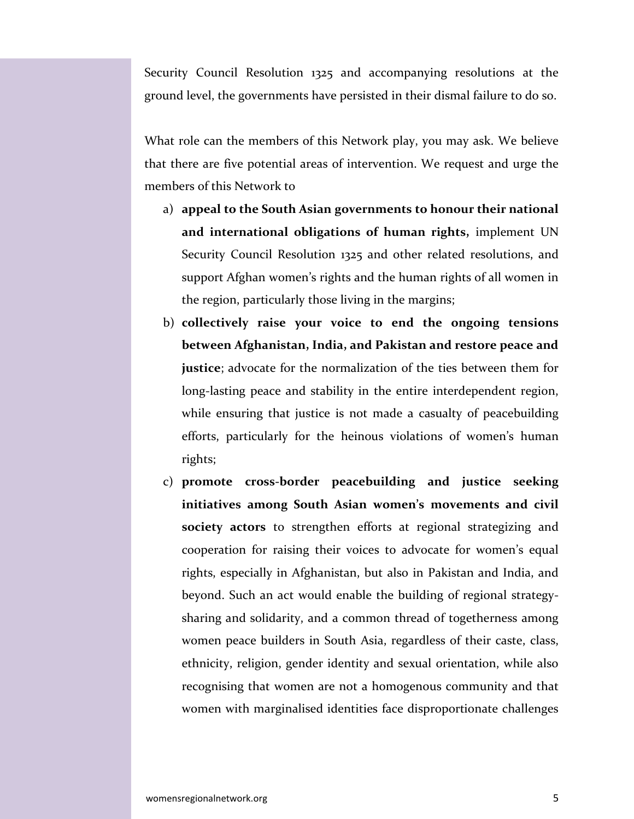Security Council Resolution 1325 and accompanying resolutions at the ground level, the governments have persisted in their dismal failure to do so.

What role can the members of this Network play, you may ask. We believe that there are five potential areas of intervention. We request and urge the members of this Network to

- a) appeal to the South Asian governments to honour their national and international obligations of human rights, implement UN Security Council Resolution 1325 and other related resolutions, and support Afghan women's rights and the human rights of all women in the region, particularly those living in the margins;
- b) collectively raise your voice to end the ongoing tensions between Afghanistan, India, and Pakistan and restore peace and justice; advocate for the normalization of the ties between them for long-lasting peace and stability in the entire interdependent region, while ensuring that justice is not made a casualty of peacebuilding efforts, particularly for the heinous violations of women's human rights;
- c) promote cross-border peacebuilding and justice seeking initiatives among South Asian women's movements and civil society actors to strengthen efforts at regional strategizing and cooperation for raising their voices to advocate for women's equal rights, especially in Afghanistan, but also in Pakistan and India, and beyond. Such an act would enable the building of regional strategysharing and solidarity, and a common thread of togetherness among women peace builders in South Asia, regardless of their caste, class, ethnicity, religion, gender identity and sexual orientation, while also recognising that women are not a homogenous community and that women with marginalised identities face disproportionate challenges